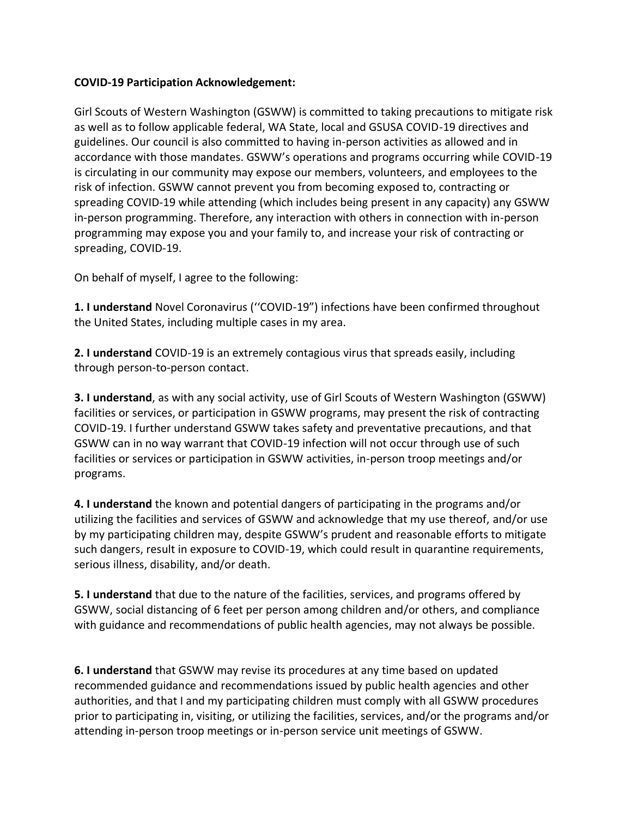## **COVID-19 Participation Acknowledgement:**

Girl Scouts of Western Washington (GSWW) is committed to taking precautions to mitigate risk as well as to follow applicable federal, WA State, local and GSUSA COVID-19 directives and guidelines. Our council is also committed to having in-person activities as allowed and in accordance with those mandates. GSWW's operations and programs occurring while COVID-19 is circulating in our community may expose our members, volunteers, and employees to the risk of infection. GSWW cannot prevent you from becoming exposed to, contracting or spreading COVID-19 while attending (which includes being present in any capacity) any GSWW in-person programming. Therefore, any interaction with others in connection with in-person programming may expose you and your family to, and increase your risk of contracting or spreading, COVID-19.

On behalf of myself, I agree to the following:

**1. I understand** Novel Coronavirus (''COVID-19") infections have been confirmed throughout the United States, including multiple cases in my area.

**2. I understand** COVID-19 is an extremely contagious virus that spreads easily, including through person-to-person contact.

**3. I understand**, as with any social activity, use of Girl Scouts of Western Washington (GSWW) facilities or services, or participation in GSWW programs, may present the risk of contracting COVID-19. I further understand GSWW takes safety and preventative precautions, and that GSWW can in no way warrant that COVID-19 infection will not occur through use of such facilities or services or participation in GSWW activities, in-person troop meetings and/or programs.

**4. I understand** the known and potential dangers of participating in the programs and/or utilizing the facilities and services of GSWW and acknowledge that my use thereof, and/or use by my participating children may, despite GSWW's prudent and reasonable efforts to mitigate such dangers, result in exposure to COVID-19, which could result in quarantine requirements, serious illness, disability, and/or death.

**5. I understand** that due to the nature of the facilities, services, and programs offered by GSWW, social distancing of 6 feet per person among children and/or others, and compliance with guidance and recommendations of public health agencies, may not always be possible.

**6. I understand** that GSWW may revise its procedures at any time based on updated recommended guidance and recommendations issued by public health agencies and other authorities, and that I and my participating children must comply with all GSWW procedures prior to participating in, visiting, or utilizing the facilities, services, and/or the programs and/or attending in-person troop meetings or in-person service unit meetings of GSWW.